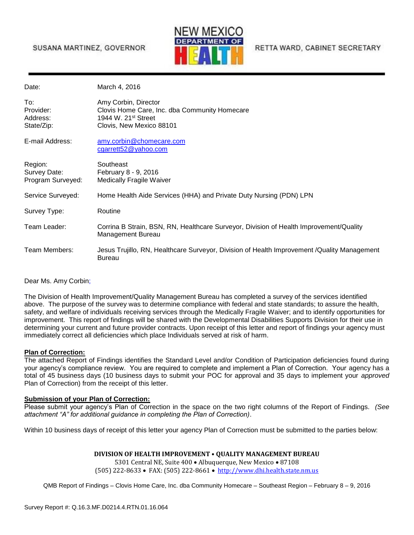## SUSANA MARTINEZ, GOVERNOR



RETTA WARD, CABINET SECRETARY

Date: **March 4, 2016** 

| To:<br>Provider:<br>Address:<br>State/Zip:   | Amy Corbin, Director<br>Clovis Home Care, Inc. dba Community Homecare<br>1944 W. 21st Street<br>Clovis, New Mexico 88101 |
|----------------------------------------------|--------------------------------------------------------------------------------------------------------------------------|
| E-mail Address:                              | amy.corbin@chomecare.com<br>$c$ garrett $52@$ yahoo.com                                                                  |
| Region:<br>Survey Date:<br>Program Surveyed: | Southeast<br>February 8 - 9, 2016<br><b>Medically Fragile Waiver</b>                                                     |
| Service Surveyed:                            | Home Health Aide Services (HHA) and Private Duty Nursing (PDN) LPN                                                       |
| Survey Type:                                 | Routine                                                                                                                  |
| Team Leader:                                 | Corrina B Strain, BSN, RN, Healthcare Surveyor, Division of Health Improvement/Quality<br>Management Bureau              |
| Team Members:                                | Jesus Trujillo, RN, Healthcare Surveyor, Division of Health Improvement / Quality Management<br>Bureau                   |

Dear Ms. Amy Corbin;

The Division of Health Improvement/Quality Management Bureau has completed a survey of the services identified above. The purpose of the survey was to determine compliance with federal and state standards; to assure the health, safety, and welfare of individuals receiving services through the Medically Fragile Waiver; and to identify opportunities for improvement. This report of findings will be shared with the Developmental Disabilities Supports Division for their use in determining your current and future provider contracts. Upon receipt of this letter and report of findings your agency must immediately correct all deficiencies which place Individuals served at risk of harm.

#### **Plan of Correction:**

The attached Report of Findings identifies the Standard Level and/or Condition of Participation deficiencies found during your agency's compliance review. You are required to complete and implement a Plan of Correction. Your agency has a total of 45 business days (10 business days to submit your POC for approval and 35 days to implement your *approved* Plan of Correction) from the receipt of this letter.

#### **Submission of your Plan of Correction:**

Please submit your agency's Plan of Correction in the space on the two right columns of the Report of Findings. *(See attachment "A" for additional guidance in completing the Plan of Correction)*.

Within 10 business days of receipt of this letter your agency Plan of Correction must be submitted to the parties below:

#### **DIVISION OF HEALTH IMPROVEMENT • QUALITY MANAGEMENT BUREAU**

5301 Central NE, Suite 400 · Albuquerque, New Mexico · 87108 (505) 222-8633 FAX: (505) 222-8661 [http://www.dhi.health.state.nm.us](http://www.dhi.health.state.nm.us/)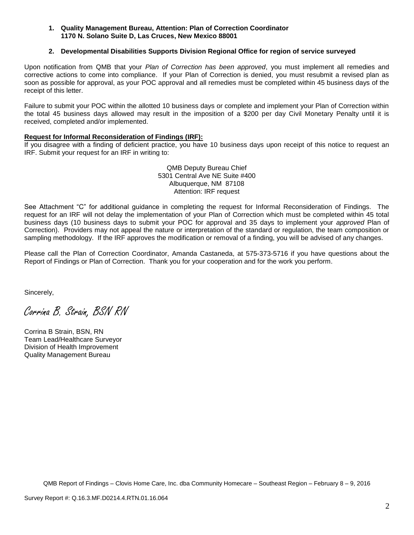### **1. Quality Management Bureau, Attention: Plan of Correction Coordinator 1170 N. Solano Suite D, Las Cruces, New Mexico 88001**

### **2. Developmental Disabilities Supports Division Regional Office for region of service surveyed**

Upon notification from QMB that your *Plan of Correction has been approved*, you must implement all remedies and corrective actions to come into compliance. If your Plan of Correction is denied, you must resubmit a revised plan as soon as possible for approval, as your POC approval and all remedies must be completed within 45 business days of the receipt of this letter.

Failure to submit your POC within the allotted 10 business days or complete and implement your Plan of Correction within the total 45 business days allowed may result in the imposition of a \$200 per day Civil Monetary Penalty until it is received, completed and/or implemented.

### **Request for Informal Reconsideration of Findings (IRF):**

If you disagree with a finding of deficient practice, you have 10 business days upon receipt of this notice to request an IRF. Submit your request for an IRF in writing to:

> QMB Deputy Bureau Chief 5301 Central Ave NE Suite #400 Albuquerque, NM 87108 Attention: IRF request

See Attachment "C" for additional guidance in completing the request for Informal Reconsideration of Findings. The request for an IRF will not delay the implementation of your Plan of Correction which must be completed within 45 total business days (10 business days to submit your POC for approval and 35 days to implement your *approved* Plan of Correction). Providers may not appeal the nature or interpretation of the standard or regulation, the team composition or sampling methodology. If the IRF approves the modification or removal of a finding, you will be advised of any changes.

Please call the Plan of Correction Coordinator, Amanda Castaneda, at 575-373-5716 if you have questions about the Report of Findings or Plan of Correction. Thank you for your cooperation and for the work you perform.

Sincerely,

Corrina B. Strain, BSN RN

Corrina B Strain, BSN, RN Team Lead/Healthcare Surveyor Division of Health Improvement Quality Management Bureau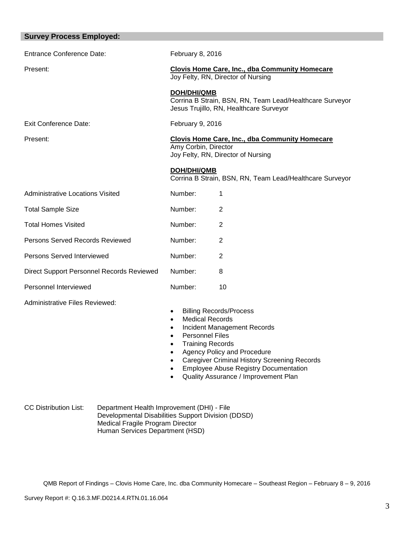| <b>Survey Process Employed:</b>           |                                                                                                                                                                                                                                 |
|-------------------------------------------|---------------------------------------------------------------------------------------------------------------------------------------------------------------------------------------------------------------------------------|
| <b>Entrance Conference Date:</b>          | February 8, 2016                                                                                                                                                                                                                |
| Present:                                  | <b>Clovis Home Care, Inc., dba Community Homecare</b><br>Joy Felty, RN, Director of Nursing                                                                                                                                     |
|                                           | <b>DOH/DHI/QMB</b><br>Corrina B Strain, BSN, RN, Team Lead/Healthcare Surveyor<br>Jesus Trujillo, RN, Healthcare Surveyor                                                                                                       |
| <b>Exit Conference Date:</b>              | February 9, 2016                                                                                                                                                                                                                |
| Present:                                  | <b>Clovis Home Care, Inc., dba Community Homecare</b><br>Amy Corbin, Director<br>Joy Felty, RN, Director of Nursing                                                                                                             |
|                                           | <b>DOH/DHI/QMB</b><br>Corrina B Strain, BSN, RN, Team Lead/Healthcare Surveyor                                                                                                                                                  |
| <b>Administrative Locations Visited</b>   | Number:<br>1                                                                                                                                                                                                                    |
| <b>Total Sample Size</b>                  | Number:<br>$\overline{2}$                                                                                                                                                                                                       |
| <b>Total Homes Visited</b>                | Number:<br>$\overline{2}$                                                                                                                                                                                                       |
| Persons Served Records Reviewed           | Number:<br>$\overline{2}$                                                                                                                                                                                                       |
| Persons Served Interviewed                | Number:<br>$\overline{2}$                                                                                                                                                                                                       |
| Direct Support Personnel Records Reviewed | Number:<br>8                                                                                                                                                                                                                    |
| Personnel Interviewed                     | Number:<br>10                                                                                                                                                                                                                   |
| Administrative Files Reviewed:            | <b>Billing Records/Process</b><br>$\bullet$<br><b>Medical Records</b><br>$\bullet$<br>Incident Management Records<br>$\bullet$<br><b>Personnel Files</b><br>$\bullet$<br><b>Training Records</b><br>Agency Policy and Procedure |

- Caregiver Criminal History Screening Records
- **•** Employee Abuse Registry Documentation
- Quality Assurance / Improvement Plan

CC Distribution List: Department Health Improvement (DHI) - File Developmental Disabilities Support Division (DDSD) Medical Fragile Program Director Human Services Department (HSD)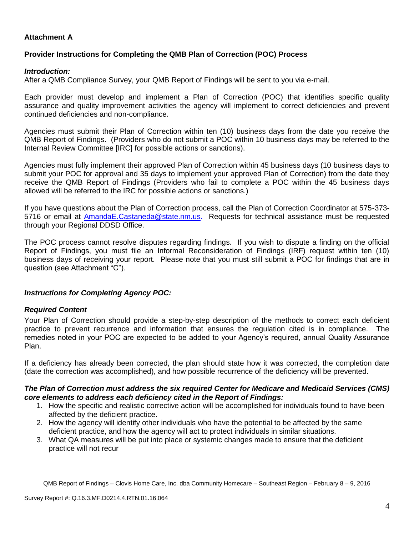## **Attachment A**

## **Provider Instructions for Completing the QMB Plan of Correction (POC) Process**

## *Introduction:*

After a QMB Compliance Survey, your QMB Report of Findings will be sent to you via e-mail.

Each provider must develop and implement a Plan of Correction (POC) that identifies specific quality assurance and quality improvement activities the agency will implement to correct deficiencies and prevent continued deficiencies and non-compliance.

Agencies must submit their Plan of Correction within ten (10) business days from the date you receive the QMB Report of Findings. (Providers who do not submit a POC within 10 business days may be referred to the Internal Review Committee [IRC] for possible actions or sanctions).

Agencies must fully implement their approved Plan of Correction within 45 business days (10 business days to submit your POC for approval and 35 days to implement your approved Plan of Correction) from the date they receive the QMB Report of Findings (Providers who fail to complete a POC within the 45 business days allowed will be referred to the IRC for possible actions or sanctions.)

If you have questions about the Plan of Correction process, call the Plan of Correction Coordinator at 575-373- 5716 or email at AmandaE.Castaneda@state.nm.us. Requests for technical assistance must be requested through your Regional DDSD Office.

The POC process cannot resolve disputes regarding findings. If you wish to dispute a finding on the official Report of Findings, you must file an Informal Reconsideration of Findings (IRF) request within ten (10) business days of receiving your report. Please note that you must still submit a POC for findings that are in question (see Attachment "C").

### *Instructions for Completing Agency POC:*

### *Required Content*

Your Plan of Correction should provide a step-by-step description of the methods to correct each deficient practice to prevent recurrence and information that ensures the regulation cited is in compliance. The remedies noted in your POC are expected to be added to your Agency's required, annual Quality Assurance Plan.

If a deficiency has already been corrected, the plan should state how it was corrected, the completion date (date the correction was accomplished), and how possible recurrence of the deficiency will be prevented.

### *The Plan of Correction must address the six required Center for Medicare and Medicaid Services (CMS) core elements to address each deficiency cited in the Report of Findings:*

- 1. How the specific and realistic corrective action will be accomplished for individuals found to have been affected by the deficient practice.
- 2. How the agency will identify other individuals who have the potential to be affected by the same deficient practice, and how the agency will act to protect individuals in similar situations.
- 3. What QA measures will be put into place or systemic changes made to ensure that the deficient practice will not recur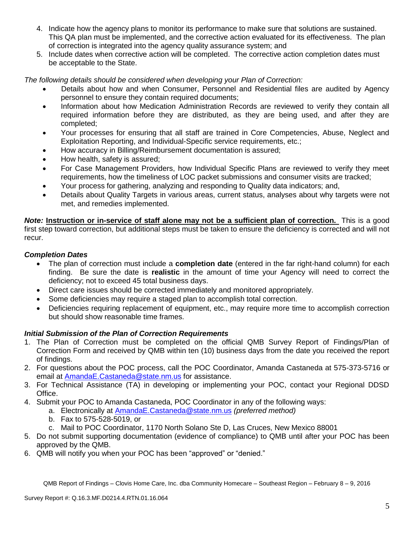- 4. Indicate how the agency plans to monitor its performance to make sure that solutions are sustained. This QA plan must be implemented, and the corrective action evaluated for its effectiveness. The plan of correction is integrated into the agency quality assurance system; and
- 5. Include dates when corrective action will be completed. The corrective action completion dates must be acceptable to the State.

*The following details should be considered when developing your Plan of Correction:*

- Details about how and when Consumer, Personnel and Residential files are audited by Agency personnel to ensure they contain required documents;
- Information about how Medication Administration Records are reviewed to verify they contain all required information before they are distributed, as they are being used, and after they are completed;
- Your processes for ensuring that all staff are trained in Core Competencies, Abuse, Neglect and Exploitation Reporting, and Individual-Specific service requirements, etc.;
- How accuracy in Billing/Reimbursement documentation is assured;
- How health, safety is assured;
- For Case Management Providers, how Individual Specific Plans are reviewed to verify they meet requirements, how the timeliness of LOC packet submissions and consumer visits are tracked;
- Your process for gathering, analyzing and responding to Quality data indicators; and,
- Details about Quality Targets in various areas, current status, analyses about why targets were not met, and remedies implemented.

*Note:* **Instruction or in-service of staff alone may not be a sufficient plan of correction.** This is a good first step toward correction, but additional steps must be taken to ensure the deficiency is corrected and will not recur.

# *Completion Dates*

- The plan of correction must include a **completion date** (entered in the far right-hand column) for each finding. Be sure the date is **realistic** in the amount of time your Agency will need to correct the deficiency; not to exceed 45 total business days.
- Direct care issues should be corrected immediately and monitored appropriately.
- Some deficiencies may require a staged plan to accomplish total correction.
- Deficiencies requiring replacement of equipment, etc., may require more time to accomplish correction but should show reasonable time frames.

# *Initial Submission of the Plan of Correction Requirements*

- 1. The Plan of Correction must be completed on the official QMB Survey Report of Findings/Plan of Correction Form and received by QMB within ten (10) business days from the date you received the report of findings.
- 2. For questions about the POC process, call the POC Coordinator, Amanda Castaneda at 575-373-5716 or email at AmandaE.Castaneda@state.nm.us for assistance.
- 3. For Technical Assistance (TA) in developing or implementing your POC, contact your Regional DDSD Office.
- 4. Submit your POC to Amanda Castaneda, POC Coordinator in any of the following ways:
	- a. Electronically at AmandaE.Castaneda@state.nm.us *(preferred method)*
	- b. Fax to 575-528-5019, or
	- c. Mail to POC Coordinator, 1170 North Solano Ste D, Las Cruces, New Mexico 88001
- 5. Do not submit supporting documentation (evidence of compliance) to QMB until after your POC has been approved by the QMB.
- 6. QMB will notify you when your POC has been "approved" or "denied."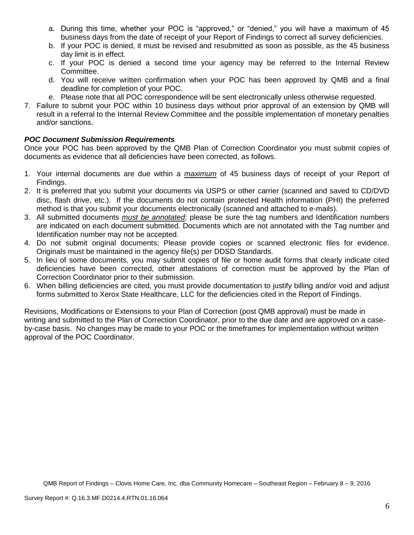- a. During this time, whether your POC is "approved," or "denied," you will have a maximum of 45 business days from the date of receipt of your Report of Findings to correct all survey deficiencies.
- b. If your POC is denied, it must be revised and resubmitted as soon as possible, as the 45 business day limit is in effect.
- c. If your POC is denied a second time your agency may be referred to the Internal Review Committee.
- d. You will receive written confirmation when your POC has been approved by QMB and a final deadline for completion of your POC.
- e. Please note that all POC correspondence will be sent electronically unless otherwise requested.
- 7. Failure to submit your POC within 10 business days without prior approval of an extension by QMB will result in a referral to the Internal Review Committee and the possible implementation of monetary penalties and/or sanctions.

# *POC Document Submission Requirements*

Once your POC has been approved by the QMB Plan of Correction Coordinator you must submit copies of documents as evidence that all deficiencies have been corrected, as follows.

- 1. Your internal documents are due within a *maximum* of 45 business days of receipt of your Report of Findings.
- 2. It is preferred that you submit your documents via USPS or other carrier (scanned and saved to CD/DVD disc, flash drive, etc.). If the documents do not contain protected Health information (PHI) the preferred method is that you submit your documents electronically (scanned and attached to e-mails).
- 3. All submitted documents *must be annotated*; please be sure the tag numbers and Identification numbers are indicated on each document submitted. Documents which are not annotated with the Tag number and Identification number may not be accepted.
- 4. Do not submit original documents; Please provide copies or scanned electronic files for evidence. Originals must be maintained in the agency file(s) per DDSD Standards.
- 5. In lieu of some documents, you may submit copies of file or home audit forms that clearly indicate cited deficiencies have been corrected, other attestations of correction must be approved by the Plan of Correction Coordinator prior to their submission.
- 6. When billing deficiencies are cited, you must provide documentation to justify billing and/or void and adjust forms submitted to Xerox State Healthcare, LLC for the deficiencies cited in the Report of Findings.

Revisions, Modifications or Extensions to your Plan of Correction (post QMB approval) must be made in writing and submitted to the Plan of Correction Coordinator, prior to the due date and are approved on a caseby-case basis. No changes may be made to your POC or the timeframes for implementation without written approval of the POC Coordinator.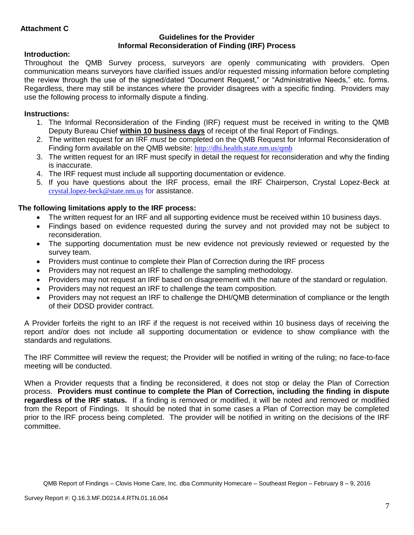# **Attachment C**

### **Guidelines for the Provider Informal Reconsideration of Finding (IRF) Process**

## **Introduction:**

Throughout the QMB Survey process, surveyors are openly communicating with providers. Open communication means surveyors have clarified issues and/or requested missing information before completing the review through the use of the signed/dated "Document Request," or "Administrative Needs," etc. forms. Regardless, there may still be instances where the provider disagrees with a specific finding. Providers may use the following process to informally dispute a finding.

## **Instructions:**

- 1. The Informal Reconsideration of the Finding (IRF) request must be received in writing to the QMB Deputy Bureau Chief **within 10 business days** of receipt of the final Report of Findings.
- 2. The written request for an IRF *must* be completed on the QMB Request for Informal Reconsideration of Finding form available on the QMB website: <http://dhi.health.state.nm.us/qmb>
- 3. The written request for an IRF must specify in detail the request for reconsideration and why the finding is inaccurate.
- 4. The IRF request must include all supporting documentation or evidence.
- 5. If you have questions about the IRF process, email the IRF Chairperson, Crystal Lopez-Beck at [crystal.lopez-beck@state.nm.us](mailto:crystal.lopez-beck@state.nm.us) for assistance.

## **The following limitations apply to the IRF process:**

- The written request for an IRF and all supporting evidence must be received within 10 business days.
- Findings based on evidence requested during the survey and not provided may not be subject to reconsideration.
- The supporting documentation must be new evidence not previously reviewed or requested by the survey team.
- Providers must continue to complete their Plan of Correction during the IRF process
- Providers may not request an IRF to challenge the sampling methodology.
- Providers may not request an IRF based on disagreement with the nature of the standard or regulation.
- Providers may not request an IRF to challenge the team composition.
- Providers may not request an IRF to challenge the DHI/QMB determination of compliance or the length of their DDSD provider contract.

A Provider forfeits the right to an IRF if the request is not received within 10 business days of receiving the report and/or does not include all supporting documentation or evidence to show compliance with the standards and regulations.

The IRF Committee will review the request; the Provider will be notified in writing of the ruling; no face-to-face meeting will be conducted.

When a Provider requests that a finding be reconsidered, it does not stop or delay the Plan of Correction process. **Providers must continue to complete the Plan of Correction, including the finding in dispute regardless of the IRF status.** If a finding is removed or modified, it will be noted and removed or modified from the Report of Findings. It should be noted that in some cases a Plan of Correction may be completed prior to the IRF process being completed. The provider will be notified in writing on the decisions of the IRF committee.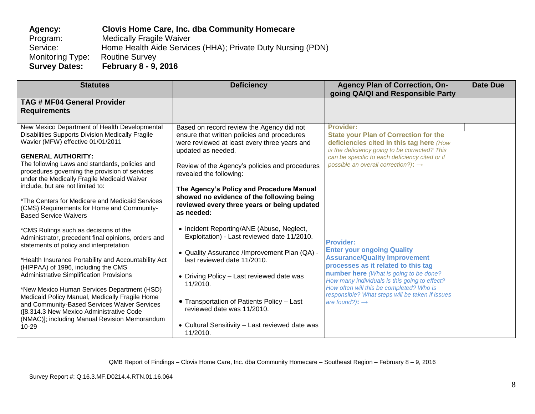# **Agency: Clovis Home Care, Inc. dba Community Homecare**  Program: Medically Fragile Waiver<br>Service: Home Health Aide Service Home Health Aide Services (HHA); Private Duty Nursing (PDN) Monitoring Type: Routine Survey **Survey Dates: February 8 - 9, 2016**

| <b>Statutes</b>                                                                                                                                                                                                                                                                                                                                                                                                                                                                        | <b>Deficiency</b>                                                                                                                                                                                                                                                                                            | <b>Agency Plan of Correction, On-</b><br>going QA/QI and Responsible Party                                                                                                                                                                                                                                                                                   | <b>Date Due</b> |
|----------------------------------------------------------------------------------------------------------------------------------------------------------------------------------------------------------------------------------------------------------------------------------------------------------------------------------------------------------------------------------------------------------------------------------------------------------------------------------------|--------------------------------------------------------------------------------------------------------------------------------------------------------------------------------------------------------------------------------------------------------------------------------------------------------------|--------------------------------------------------------------------------------------------------------------------------------------------------------------------------------------------------------------------------------------------------------------------------------------------------------------------------------------------------------------|-----------------|
| <b>TAG # MF04 General Provider</b><br><b>Requirements</b>                                                                                                                                                                                                                                                                                                                                                                                                                              |                                                                                                                                                                                                                                                                                                              |                                                                                                                                                                                                                                                                                                                                                              |                 |
| New Mexico Department of Health Developmental<br>Disabilities Supports Division Medically Fragile<br>Wavier (MFW) effective 01/01/2011<br><b>GENERAL AUTHORITY:</b><br>The following Laws and standards, policies and<br>procedures governing the provision of services                                                                                                                                                                                                                | Based on record review the Agency did not<br>ensure that written policies and procedures<br>were reviewed at least every three years and<br>updated as needed.<br>Review of the Agency's policies and procedures<br>revealed the following:                                                                  | Provider:<br><b>State your Plan of Correction for the</b><br>deficiencies cited in this tag here (How<br>is the deficiency going to be corrected? This<br>can be specific to each deficiency cited or if<br>possible an overall correction?): $\rightarrow$                                                                                                  |                 |
| under the Medically Fragile Medicaid Waiver<br>include, but are not limited to:<br>*The Centers for Medicare and Medicaid Services<br>(CMS) Requirements for Home and Community-<br><b>Based Service Waivers</b>                                                                                                                                                                                                                                                                       | The Agency's Policy and Procedure Manual<br>showed no evidence of the following being<br>reviewed every three years or being updated<br>as needed:                                                                                                                                                           |                                                                                                                                                                                                                                                                                                                                                              |                 |
| *CMS Rulings such as decisions of the<br>Administrator, precedent final opinions, orders and<br>statements of policy and interpretation<br>*Health Insurance Portability and Accountability Act<br>(HIPPAA) of 1996, including the CMS<br><b>Administrative Simplification Provisions</b><br>*New Mexico Human Services Department (HSD)<br>Medicaid Policy Manual, Medically Fragile Home<br>and Community-Based Services Waiver Services<br>([8.314.3 New Mexico Administrative Code | • Incident Reporting/ANE (Abuse, Neglect,<br>Exploitation) - Last reviewed date 11/2010.<br>• Quality Assurance /Improvement Plan (QA) -<br>last reviewed date 11/2010.<br>• Driving Policy - Last reviewed date was<br>11/2010.<br>• Transportation of Patients Policy - Last<br>reviewed date was 11/2010. | <b>Provider:</b><br><b>Enter your ongoing Quality</b><br><b>Assurance/Quality Improvement</b><br>processes as it related to this tag<br>number here (What is going to be done?<br>How many individuals is this going to effect?<br>How often will this be completed? Who is<br>responsible? What steps will be taken if issues<br>are found?): $\rightarrow$ |                 |
| (NMAC)]; including Manual Revision Memorandum<br>$10 - 29$                                                                                                                                                                                                                                                                                                                                                                                                                             | • Cultural Sensitivity - Last reviewed date was<br>11/2010.                                                                                                                                                                                                                                                  |                                                                                                                                                                                                                                                                                                                                                              |                 |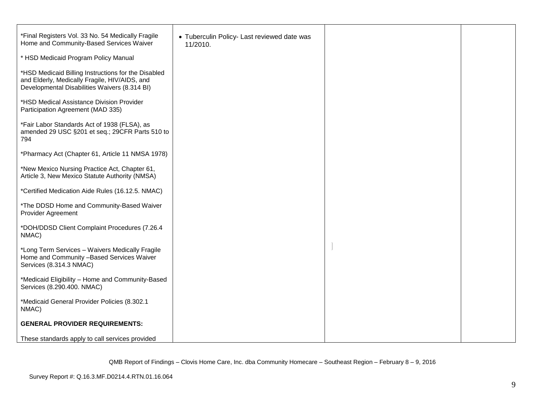| *Final Registers Vol. 33 No. 54 Medically Fragile<br>Home and Community-Based Services Waiver                                                         | • Tuberculin Policy- Last reviewed date was<br>11/2010. |  |
|-------------------------------------------------------------------------------------------------------------------------------------------------------|---------------------------------------------------------|--|
| * HSD Medicaid Program Policy Manual                                                                                                                  |                                                         |  |
| *HSD Medicaid Billing Instructions for the Disabled<br>and Elderly, Medically Fragile, HIV/AIDS, and<br>Developmental Disabilities Waivers (8.314 BI) |                                                         |  |
| *HSD Medical Assistance Division Provider<br>Participation Agreement (MAD 335)                                                                        |                                                         |  |
| *Fair Labor Standards Act of 1938 (FLSA), as<br>amended 29 USC §201 et seq.; 29CFR Parts 510 to<br>794                                                |                                                         |  |
| *Pharmacy Act (Chapter 61, Article 11 NMSA 1978)                                                                                                      |                                                         |  |
| *New Mexico Nursing Practice Act, Chapter 61,<br>Article 3, New Mexico Statute Authority (NMSA)                                                       |                                                         |  |
| *Certified Medication Aide Rules (16.12.5. NMAC)                                                                                                      |                                                         |  |
| *The DDSD Home and Community-Based Waiver<br><b>Provider Agreement</b>                                                                                |                                                         |  |
| *DOH/DDSD Client Complaint Procedures (7.26.4<br>NMAC)                                                                                                |                                                         |  |
| *Long Term Services - Waivers Medically Fragile<br>Home and Community -Based Services Waiver<br>Services (8.314.3 NMAC)                               |                                                         |  |
| *Medicaid Eligibility - Home and Community-Based<br>Services (8.290.400. NMAC)                                                                        |                                                         |  |
| *Medicaid General Provider Policies (8.302.1<br>NMAC)                                                                                                 |                                                         |  |
| <b>GENERAL PROVIDER REQUIREMENTS:</b>                                                                                                                 |                                                         |  |
| These standards apply to call services provided                                                                                                       |                                                         |  |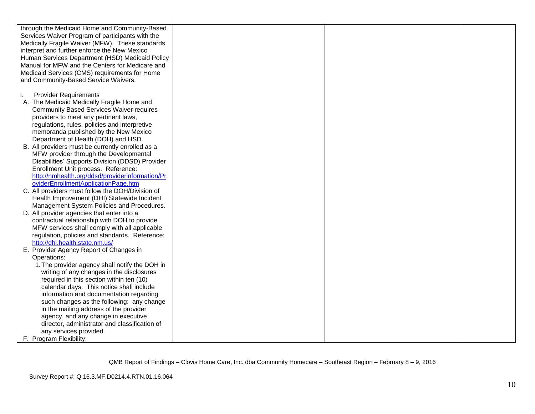| through the Medicaid Home and Community-Based    |  |  |
|--------------------------------------------------|--|--|
| Services Waiver Program of participants with the |  |  |
| Medically Fragile Waiver (MFW). These standards  |  |  |
| interpret and further enforce the New Mexico     |  |  |
| Human Services Department (HSD) Medicaid Policy  |  |  |
| Manual for MFW and the Centers for Medicare and  |  |  |
| Medicaid Services (CMS) requirements for Home    |  |  |
| and Community-Based Service Waivers.             |  |  |
|                                                  |  |  |
| <b>Provider Requirements</b><br>Τ.               |  |  |
| A. The Medicaid Medically Fragile Home and       |  |  |
| <b>Community Based Services Waiver requires</b>  |  |  |
| providers to meet any pertinent laws,            |  |  |
| regulations, rules, policies and interpretive    |  |  |
| memoranda published by the New Mexico            |  |  |
| Department of Health (DOH) and HSD.              |  |  |
| B. All providers must be currently enrolled as a |  |  |
| MFW provider through the Developmental           |  |  |
| Disabilities' Supports Division (DDSD) Provider  |  |  |
| Enrollment Unit process. Reference:              |  |  |
| http://nmhealth.org/ddsd/providerinformation/Pr  |  |  |
| oviderEnrollmentApplicationPage.htm              |  |  |
| C. All providers must follow the DOH/Division of |  |  |
| Health Improvement (DHI) Statewide Incident      |  |  |
| Management System Policies and Procedures.       |  |  |
| D. All provider agencies that enter into a       |  |  |
| contractual relationship with DOH to provide     |  |  |
| MFW services shall comply with all applicable    |  |  |
| regulation, policies and standards. Reference:   |  |  |
| http://dhi.health.state.nm.us/                   |  |  |
| E. Provider Agency Report of Changes in          |  |  |
| Operations:                                      |  |  |
| 1. The provider agency shall notify the DOH in   |  |  |
| writing of any changes in the disclosures        |  |  |
| required in this section within ten (10)         |  |  |
| calendar days. This notice shall include         |  |  |
| information and documentation regarding          |  |  |
| such changes as the following: any change        |  |  |
| in the mailing address of the provider           |  |  |
| agency, and any change in executive              |  |  |
| director, administrator and classification of    |  |  |
| any services provided.                           |  |  |
| F. Program Flexibility:                          |  |  |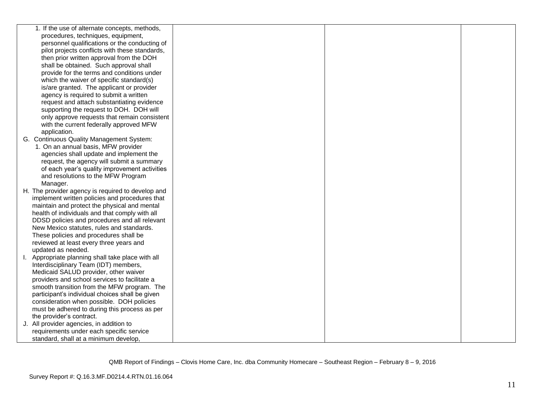| 1. If the use of alternate concepts, methods,                                                  |  |  |
|------------------------------------------------------------------------------------------------|--|--|
| procedures, techniques, equipment,                                                             |  |  |
| personnel qualifications or the conducting of                                                  |  |  |
| pilot projects conflicts with these standards,                                                 |  |  |
| then prior written approval from the DOH                                                       |  |  |
| shall be obtained. Such approval shall                                                         |  |  |
| provide for the terms and conditions under                                                     |  |  |
| which the waiver of specific standard(s)                                                       |  |  |
| is/are granted. The applicant or provider                                                      |  |  |
| agency is required to submit a written                                                         |  |  |
| request and attach substantiating evidence                                                     |  |  |
| supporting the request to DOH. DOH will                                                        |  |  |
| only approve requests that remain consistent                                                   |  |  |
| with the current federally approved MFW                                                        |  |  |
| application.                                                                                   |  |  |
| G. Continuous Quality Management System:                                                       |  |  |
| 1. On an annual basis, MFW provider                                                            |  |  |
| agencies shall update and implement the                                                        |  |  |
| request, the agency will submit a summary                                                      |  |  |
| of each year's quality improvement activities                                                  |  |  |
| and resolutions to the MFW Program                                                             |  |  |
| Manager.                                                                                       |  |  |
| H. The provider agency is required to develop and                                              |  |  |
| implement written policies and procedures that                                                 |  |  |
| maintain and protect the physical and mental                                                   |  |  |
| health of individuals and that comply with all                                                 |  |  |
| DDSD policies and procedures and all relevant                                                  |  |  |
| New Mexico statutes, rules and standards.                                                      |  |  |
| These policies and procedures shall be                                                         |  |  |
| reviewed at least every three years and                                                        |  |  |
| updated as needed.                                                                             |  |  |
| I. Appropriate planning shall take place with all                                              |  |  |
| Interdisciplinary Team (IDT) members,                                                          |  |  |
| Medicaid SALUD provider, other waiver<br>providers and school services to facilitate a         |  |  |
|                                                                                                |  |  |
| smooth transition from the MFW program. The<br>participant's individual choices shall be given |  |  |
| consideration when possible. DOH policies                                                      |  |  |
| must be adhered to during this process as per                                                  |  |  |
| the provider's contract.                                                                       |  |  |
| J. All provider agencies, in addition to                                                       |  |  |
| requirements under each specific service                                                       |  |  |
| standard, shall at a minimum develop,                                                          |  |  |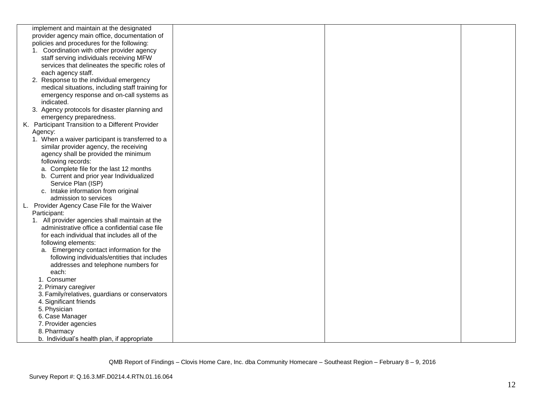|    | implement and maintain at the designated          |  |  |
|----|---------------------------------------------------|--|--|
|    | provider agency main office, documentation of     |  |  |
|    | policies and procedures for the following:        |  |  |
|    | 1. Coordination with other provider agency        |  |  |
|    | staff serving individuals receiving MFW           |  |  |
|    | services that delineates the specific roles of    |  |  |
|    | each agency staff.                                |  |  |
|    | 2. Response to the individual emergency           |  |  |
|    | medical situations, including staff training for  |  |  |
|    | emergency response and on-call systems as         |  |  |
|    | indicated.                                        |  |  |
|    | 3. Agency protocols for disaster planning and     |  |  |
|    | emergency preparedness.                           |  |  |
|    | K. Participant Transition to a Different Provider |  |  |
|    | Agency:                                           |  |  |
|    | 1. When a waiver participant is transferred to a  |  |  |
|    | similar provider agency, the receiving            |  |  |
|    | agency shall be provided the minimum              |  |  |
|    | following records:                                |  |  |
|    | a. Complete file for the last 12 months           |  |  |
|    | b. Current and prior year Individualized          |  |  |
|    | Service Plan (ISP)                                |  |  |
|    | c. Intake information from original               |  |  |
|    | admission to services                             |  |  |
| L. | Provider Agency Case File for the Waiver          |  |  |
|    | Participant:                                      |  |  |
|    | 1. All provider agencies shall maintain at the    |  |  |
|    | administrative office a confidential case file    |  |  |
|    | for each individual that includes all of the      |  |  |
|    | following elements:                               |  |  |
|    | a. Emergency contact information for the          |  |  |
|    | following individuals/entities that includes      |  |  |
|    | addresses and telephone numbers for               |  |  |
|    | each:                                             |  |  |
|    | 1. Consumer                                       |  |  |
|    | 2. Primary caregiver                              |  |  |
|    | 3. Family/relatives, guardians or conservators    |  |  |
|    | 4. Significant friends                            |  |  |
|    | 5. Physician                                      |  |  |
|    | 6. Case Manager                                   |  |  |
|    | 7. Provider agencies                              |  |  |
|    | 8. Pharmacy                                       |  |  |
|    | b. Individual's health plan, if appropriate       |  |  |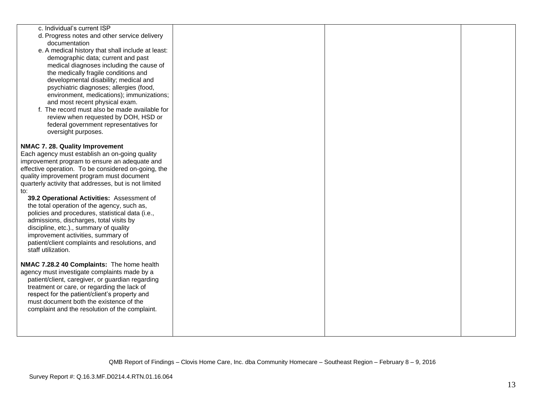| c. Individual's current ISP                           |  |  |
|-------------------------------------------------------|--|--|
| d. Progress notes and other service delivery          |  |  |
| documentation                                         |  |  |
| e. A medical history that shall include at least:     |  |  |
| demographic data; current and past                    |  |  |
| medical diagnoses including the cause of              |  |  |
| the medically fragile conditions and                  |  |  |
| developmental disability; medical and                 |  |  |
| psychiatric diagnoses; allergies (food,               |  |  |
| environment, medications); immunizations;             |  |  |
| and most recent physical exam.                        |  |  |
| f. The record must also be made available for         |  |  |
|                                                       |  |  |
| review when requested by DOH, HSD or                  |  |  |
| federal government representatives for                |  |  |
| oversight purposes.                                   |  |  |
|                                                       |  |  |
| NMAC 7. 28. Quality Improvement                       |  |  |
| Each agency must establish an on-going quality        |  |  |
| improvement program to ensure an adequate and         |  |  |
| effective operation. To be considered on-going, the   |  |  |
| quality improvement program must document             |  |  |
| quarterly activity that addresses, but is not limited |  |  |
| to:                                                   |  |  |
| 39.2 Operational Activities: Assessment of            |  |  |
| the total operation of the agency, such as,           |  |  |
| policies and procedures, statistical data (i.e.,      |  |  |
| admissions, discharges, total visits by               |  |  |
| discipline, etc.)., summary of quality                |  |  |
| improvement activities, summary of                    |  |  |
| patient/client complaints and resolutions, and        |  |  |
| staff utilization.                                    |  |  |
|                                                       |  |  |
| NMAC 7.28.2 40 Complaints: The home health            |  |  |
| agency must investigate complaints made by a          |  |  |
| patient/client, caregiver, or guardian regarding      |  |  |
| treatment or care, or regarding the lack of           |  |  |
| respect for the patient/client's property and         |  |  |
| must document both the existence of the               |  |  |
| complaint and the resolution of the complaint.        |  |  |
|                                                       |  |  |
|                                                       |  |  |
|                                                       |  |  |
|                                                       |  |  |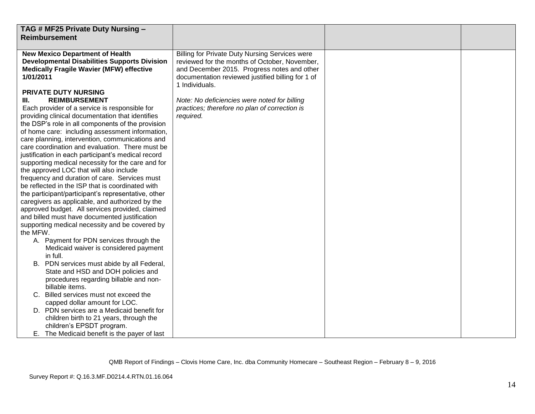| TAG # MF25 Private Duty Nursing -<br><b>Reimbursement</b>                                                                                                                                                                                                                                                                                                                                                                                                                                                                                                                                                                                                                                                                                                                                                                                                                                                                                                                                                                                                                                                                                                                                                                                                                                                                                                                                                                                                                                            |                                                                                                                                                                                                                                                                                                                                     |  |
|------------------------------------------------------------------------------------------------------------------------------------------------------------------------------------------------------------------------------------------------------------------------------------------------------------------------------------------------------------------------------------------------------------------------------------------------------------------------------------------------------------------------------------------------------------------------------------------------------------------------------------------------------------------------------------------------------------------------------------------------------------------------------------------------------------------------------------------------------------------------------------------------------------------------------------------------------------------------------------------------------------------------------------------------------------------------------------------------------------------------------------------------------------------------------------------------------------------------------------------------------------------------------------------------------------------------------------------------------------------------------------------------------------------------------------------------------------------------------------------------------|-------------------------------------------------------------------------------------------------------------------------------------------------------------------------------------------------------------------------------------------------------------------------------------------------------------------------------------|--|
| <b>New Mexico Department of Health</b><br><b>Developmental Disabilities Supports Division</b><br><b>Medically Fragile Wavier (MFW) effective</b><br>1/01/2011<br>PRIVATE DUTY NURSING<br><b>REIMBURSEMENT</b><br>III.<br>Each provider of a service is responsible for<br>providing clinical documentation that identifies<br>the DSP's role in all components of the provision<br>of home care: including assessment information,<br>care planning, intervention, communications and<br>care coordination and evaluation. There must be<br>justification in each participant's medical record<br>supporting medical necessity for the care and for<br>the approved LOC that will also include<br>frequency and duration of care. Services must<br>be reflected in the ISP that is coordinated with<br>the participant/participant's representative, other<br>caregivers as applicable, and authorized by the<br>approved budget. All services provided, claimed<br>and billed must have documented justification<br>supporting medical necessity and be covered by<br>the MFW.<br>A. Payment for PDN services through the<br>Medicaid waiver is considered payment<br>in full.<br>B. PDN services must abide by all Federal,<br>State and HSD and DOH policies and<br>procedures regarding billable and non-<br>billable items.<br>C. Billed services must not exceed the<br>capped dollar amount for LOC.<br>D. PDN services are a Medicaid benefit for<br>children birth to 21 years, through the | Billing for Private Duty Nursing Services were<br>reviewed for the months of October, November,<br>and December 2015. Progress notes and other<br>documentation reviewed justified billing for 1 of<br>1 Individuals.<br>Note: No deficiencies were noted for billing<br>practices; therefore no plan of correction is<br>required. |  |
| children's EPSDT program.<br>E. The Medicaid benefit is the payer of last                                                                                                                                                                                                                                                                                                                                                                                                                                                                                                                                                                                                                                                                                                                                                                                                                                                                                                                                                                                                                                                                                                                                                                                                                                                                                                                                                                                                                            |                                                                                                                                                                                                                                                                                                                                     |  |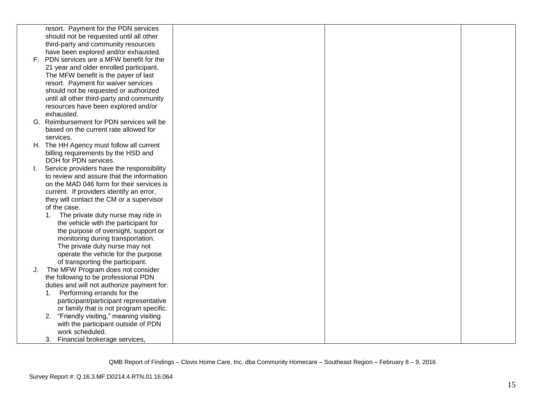| resort. Payment for the PDN services<br>should not be requested until all other<br>third-party and community resources<br>have been explored and/or exhausted.<br>F. PDN services are a MFW benefit for the<br>21 year and older enrolled participant.<br>The MFW benefit is the payer of last<br>resort. Payment for waiver services |  |
|---------------------------------------------------------------------------------------------------------------------------------------------------------------------------------------------------------------------------------------------------------------------------------------------------------------------------------------|--|
|                                                                                                                                                                                                                                                                                                                                       |  |
|                                                                                                                                                                                                                                                                                                                                       |  |
|                                                                                                                                                                                                                                                                                                                                       |  |
|                                                                                                                                                                                                                                                                                                                                       |  |
|                                                                                                                                                                                                                                                                                                                                       |  |
|                                                                                                                                                                                                                                                                                                                                       |  |
|                                                                                                                                                                                                                                                                                                                                       |  |
|                                                                                                                                                                                                                                                                                                                                       |  |
| should not be requested or authorized                                                                                                                                                                                                                                                                                                 |  |
| until all other third-party and community                                                                                                                                                                                                                                                                                             |  |
| resources have been explored and/or                                                                                                                                                                                                                                                                                                   |  |
| exhausted.                                                                                                                                                                                                                                                                                                                            |  |
| G. Reimbursement for PDN services will be                                                                                                                                                                                                                                                                                             |  |
| based on the current rate allowed for                                                                                                                                                                                                                                                                                                 |  |
| services.                                                                                                                                                                                                                                                                                                                             |  |
| H. The HH Agency must follow all current                                                                                                                                                                                                                                                                                              |  |
| billing requirements by the HSD and                                                                                                                                                                                                                                                                                                   |  |
| DOH for PDN services.                                                                                                                                                                                                                                                                                                                 |  |
| Service providers have the responsibility                                                                                                                                                                                                                                                                                             |  |
| to review and assure that the information                                                                                                                                                                                                                                                                                             |  |
| on the MAD 046 form for their services is                                                                                                                                                                                                                                                                                             |  |
| current. If providers identify an error,                                                                                                                                                                                                                                                                                              |  |
| they will contact the CM or a supervisor                                                                                                                                                                                                                                                                                              |  |
| of the case.                                                                                                                                                                                                                                                                                                                          |  |
| 1.<br>The private duty nurse may ride in                                                                                                                                                                                                                                                                                              |  |
| the vehicle with the participant for                                                                                                                                                                                                                                                                                                  |  |
| the purpose of oversight, support or                                                                                                                                                                                                                                                                                                  |  |
| monitoring during transportation.                                                                                                                                                                                                                                                                                                     |  |
| The private duty nurse may not                                                                                                                                                                                                                                                                                                        |  |
| operate the vehicle for the purpose<br>of transporting the participant.                                                                                                                                                                                                                                                               |  |
| The MFW Program does not consider<br>J.                                                                                                                                                                                                                                                                                               |  |
| the following to be professional PDN                                                                                                                                                                                                                                                                                                  |  |
| duties and will not authorize payment for:                                                                                                                                                                                                                                                                                            |  |
| Performing errands for the<br>1.                                                                                                                                                                                                                                                                                                      |  |
| participant/participant representative                                                                                                                                                                                                                                                                                                |  |
| or family that is not program specific.                                                                                                                                                                                                                                                                                               |  |
| "Friendly visiting," meaning visiting<br>2.                                                                                                                                                                                                                                                                                           |  |
| with the participant outside of PDN                                                                                                                                                                                                                                                                                                   |  |
| work scheduled.                                                                                                                                                                                                                                                                                                                       |  |
| Financial brokerage services,<br>3.                                                                                                                                                                                                                                                                                                   |  |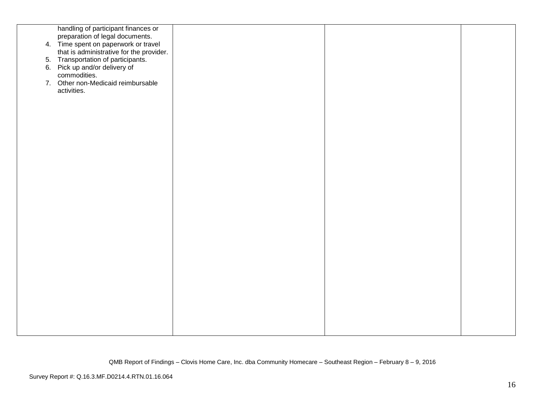| handling of participant finances or<br>preparation of legal documents.<br>4. Time spent on paperwork or travel<br>that is administrative for the provider.<br>5. Transportation of participants.<br>6. Pick up and/or delivery of<br>commodities. |  |  |
|---------------------------------------------------------------------------------------------------------------------------------------------------------------------------------------------------------------------------------------------------|--|--|
| 7. Other non-Medicaid reimbursable<br>activities.                                                                                                                                                                                                 |  |  |
|                                                                                                                                                                                                                                                   |  |  |
|                                                                                                                                                                                                                                                   |  |  |
|                                                                                                                                                                                                                                                   |  |  |
|                                                                                                                                                                                                                                                   |  |  |
|                                                                                                                                                                                                                                                   |  |  |
|                                                                                                                                                                                                                                                   |  |  |
|                                                                                                                                                                                                                                                   |  |  |
|                                                                                                                                                                                                                                                   |  |  |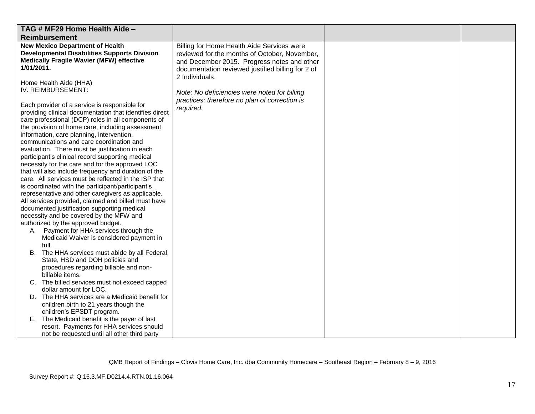| TAG # MF29 Home Health Aide -<br><b>Reimbursement</b>                                                                                                          |                                                                                                                    |  |
|----------------------------------------------------------------------------------------------------------------------------------------------------------------|--------------------------------------------------------------------------------------------------------------------|--|
| <b>New Mexico Department of Health</b><br><b>Developmental Disabilities Supports Division</b><br><b>Medically Fragile Wavier (MFW) effective</b>               | Billing for Home Health Aide Services were<br>reviewed for the months of October, November,                        |  |
| 1/01/2011.                                                                                                                                                     | and December 2015. Progress notes and other<br>documentation reviewed justified billing for 2 of<br>2 Individuals. |  |
| Home Health Aide (HHA)<br>IV. REIMBURSEMENT:                                                                                                                   | Note: No deficiencies were noted for billing<br>practices; therefore no plan of correction is                      |  |
| Each provider of a service is responsible for<br>providing clinical documentation that identifies direct<br>care professional (DCP) roles in all components of | required.                                                                                                          |  |
| the provision of home care, including assessment<br>information, care planning, intervention,<br>communications and care coordination and                      |                                                                                                                    |  |
| evaluation. There must be justification in each<br>participant's clinical record supporting medical<br>necessity for the care and for the approved LOC         |                                                                                                                    |  |
| that will also include frequency and duration of the<br>care. All services must be reflected in the ISP that                                                   |                                                                                                                    |  |
| is coordinated with the participant/participant's<br>representative and other caregivers as applicable.<br>All services provided, claimed and billed must have |                                                                                                                    |  |
| documented justification supporting medical<br>necessity and be covered by the MFW and<br>authorized by the approved budget.                                   |                                                                                                                    |  |
| A. Payment for HHA services through the<br>Medicaid Waiver is considered payment in<br>full.                                                                   |                                                                                                                    |  |
| B. The HHA services must abide by all Federal,<br>State, HSD and DOH policies and<br>procedures regarding billable and non-                                    |                                                                                                                    |  |
| billable items.<br>C. The billed services must not exceed capped<br>dollar amount for LOC.                                                                     |                                                                                                                    |  |
| D. The HHA services are a Medicaid benefit for<br>children birth to 21 years though the<br>children's EPSDT program.                                           |                                                                                                                    |  |
| E. The Medicaid benefit is the payer of last<br>resort. Payments for HHA services should                                                                       |                                                                                                                    |  |
| not be requested until all other third party                                                                                                                   |                                                                                                                    |  |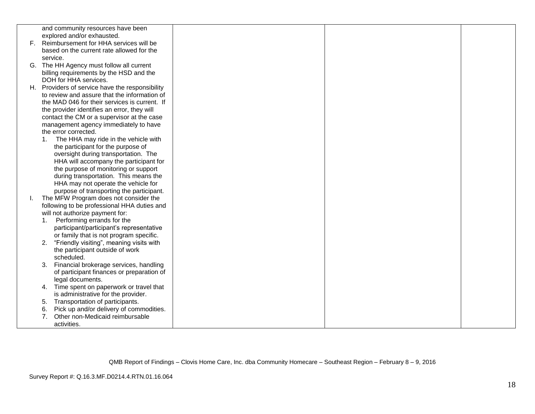|    | and community resources have been                                                         |  |  |
|----|-------------------------------------------------------------------------------------------|--|--|
| F. | explored and/or exhausted.<br>Reimbursement for HHA services will be                      |  |  |
|    | based on the current rate allowed for the                                                 |  |  |
|    | service.                                                                                  |  |  |
|    | G. The HH Agency must follow all current                                                  |  |  |
|    | billing requirements by the HSD and the                                                   |  |  |
|    | DOH for HHA services.                                                                     |  |  |
|    | H. Providers of service have the responsibility                                           |  |  |
|    | to review and assure that the information of                                              |  |  |
|    | the MAD 046 for their services is current. If                                             |  |  |
|    | the provider identifies an error, they will                                               |  |  |
|    | contact the CM or a supervisor at the case                                                |  |  |
|    | management agency immediately to have                                                     |  |  |
|    | the error corrected.<br>The HHA may ride in the vehicle with<br>1.                        |  |  |
|    | the participant for the purpose of                                                        |  |  |
|    | oversight during transportation. The                                                      |  |  |
|    | HHA will accompany the participant for                                                    |  |  |
|    | the purpose of monitoring or support                                                      |  |  |
|    | during transportation. This means the                                                     |  |  |
|    | HHA may not operate the vehicle for                                                       |  |  |
|    | purpose of transporting the participant.                                                  |  |  |
| Ι. | The MFW Program does not consider the                                                     |  |  |
|    | following to be professional HHA duties and                                               |  |  |
|    | will not authorize payment for:                                                           |  |  |
|    | Performing errands for the<br>1.                                                          |  |  |
|    | participant/participant's representative                                                  |  |  |
|    | or family that is not program specific.<br>"Friendly visiting", meaning visits with<br>2. |  |  |
|    | the participant outside of work                                                           |  |  |
|    | scheduled.                                                                                |  |  |
|    | 3.<br>Financial brokerage services, handling                                              |  |  |
|    | of participant finances or preparation of                                                 |  |  |
|    | legal documents.                                                                          |  |  |
|    | Time spent on paperwork or travel that<br>4.                                              |  |  |
|    | is administrative for the provider.                                                       |  |  |
|    | Transportation of participants.<br>5.                                                     |  |  |
|    | Pick up and/or delivery of commodities.<br>6.                                             |  |  |
|    | 7 <sub>1</sub><br>Other non-Medicaid reimbursable                                         |  |  |
|    | activities.                                                                               |  |  |